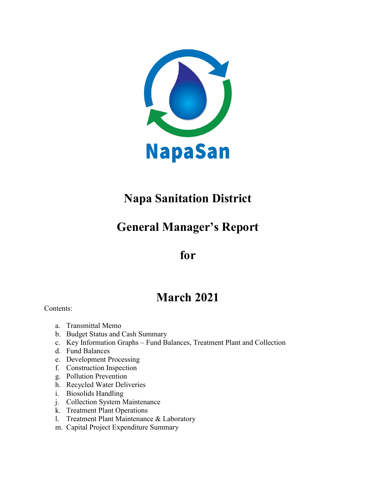

# **Napa Sanitation District**

# **General Manager's Report**

## **for**

# **March 2021**

Contents:

- a. Transmittal Memo
- b. Budget Status and Cash Summary
- c. Key Information Graphs Fund Balances, Treatment Plant and Collection
- d. Fund Balances
- e. Development Processing
- f. Construction Inspection
- g. Pollution Prevention
- h. Recycled Water Deliveries
- i. Biosolids Handling
- j. Collection System Maintenance
- k. Treatment Plant Operations
- l. Treatment Plant Maintenance & Laboratory
- m. Capital Project Expenditure Summary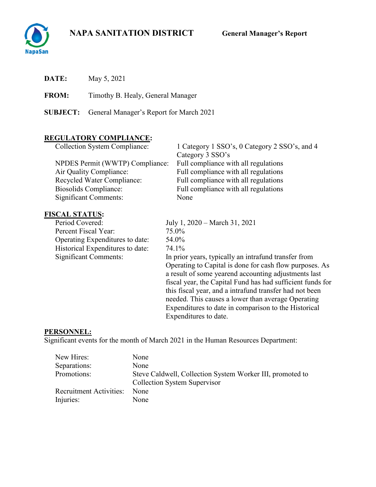SSO's, and 4



| DATE:           | May 5, 2021                                                                                                       |                                                                                                                                                              |
|-----------------|-------------------------------------------------------------------------------------------------------------------|--------------------------------------------------------------------------------------------------------------------------------------------------------------|
| <b>FROM:</b>    | Timothy B. Healy, General Manager                                                                                 |                                                                                                                                                              |
| <b>SUBJECT:</b> | General Manager's Report for March 2021                                                                           |                                                                                                                                                              |
|                 | <b>REGULATORY COMPLIANCE:</b><br><b>Collection System Compliance:</b>                                             | 1 Category 1 SSO's, 0 Category 2 S<br>Category 3 SSO's                                                                                                       |
|                 | NPDES Permit (WWTP) Compliance:<br>Air Quality Compliance:<br>Recycled Water Compliance:<br>Biosolids Compliance: | Full compliance with all regulations<br>Full compliance with all regulations<br>Full compliance with all regulations<br>Full compliance with all regulations |

# **FISCAL STATUS:**<br>Period Covered:

Percent Fiscal Year: 75.0% Operating Expenditures to date: 54.0% Historical Expenditures to date: 74.1%<br>Significant Comments: In prio

Significant Comments: None July 1, 2020 – March 31, 2021 In prior years, typically an intrafund transfer from Operating to Capital is done for cash flow purposes. As a result of some yearend accounting adjustments last fiscal year, the Capital Fund has had sufficient funds for this fiscal year, and a intrafund transfer had not been needed. This causes a lower than average Operating Expenditures to date in comparison to the Historical Expenditures to date.

#### **PERSONNEL:**

Significant events for the month of March 2021 in the Human Resources Department:

| New Hires:                     | None                                                                                             |
|--------------------------------|--------------------------------------------------------------------------------------------------|
| Separations:                   | None                                                                                             |
| Promotions:                    | Steve Caldwell, Collection System Worker III, promoted to<br><b>Collection System Supervisor</b> |
| <b>Recruitment Activities:</b> | None                                                                                             |
| Injuries:                      | None                                                                                             |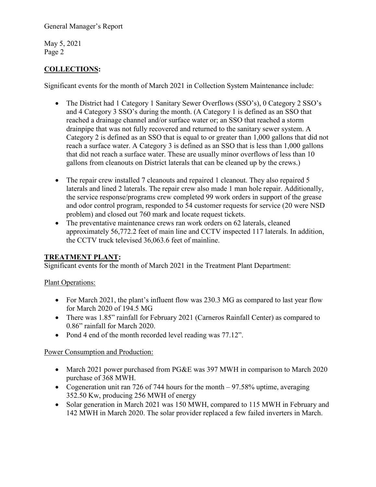May 5, 2021 Page 2

## **COLLECTIONS:**

Significant events for the month of March 2021 in Collection System Maintenance include:

- The District had 1 Category 1 Sanitary Sewer Overflows (SSO's), 0 Category 2 SSO's and 4 Category 3 SSO's during the month. (A Category 1 is defined as an SSO that reached a drainage channel and/or surface water or; an SSO that reached a storm drainpipe that was not fully recovered and returned to the sanitary sewer system. A Category 2 is defined as an SSO that is equal to or greater than 1,000 gallons that did not reach a surface water. A Category 3 is defined as an SSO that is less than 1,000 gallons that did not reach a surface water. These are usually minor overflows of less than 10 gallons from cleanouts on District laterals that can be cleaned up by the crews.)
- The repair crew installed 7 cleanouts and repaired 1 cleanout. They also repaired 5 laterals and lined 2 laterals. The repair crew also made 1 man hole repair. Additionally, the service response/programs crew completed 99 work orders in support of the grease and odor control program, responded to 54 customer requests for service (20 were NSD problem) and closed out 760 mark and locate request tickets.
- The preventative maintenance crews ran work orders on 62 laterals, cleaned approximately 56,772.2 feet of main line and CCTV inspected 117 laterals. In addition, the CCTV truck televised 36,063.6 feet of mainline.

## **TREATMENT PLANT:**

Significant events for the month of March 2021 in the Treatment Plant Department:

## Plant Operations:

- For March 2021, the plant's influent flow was 230.3 MG as compared to last year flow for March 2020 of 194.5 MG
- There was 1.85" rainfall for February 2021 (Carneros Rainfall Center) as compared to 0.86" rainfall for March 2020.
- Pond 4 end of the month recorded level reading was 77.12".

## Power Consumption and Production:

- March 2021 power purchased from PG&E was 397 MWH in comparison to March 2020 purchase of 368 MWH.
- Cogeneration unit ran 726 of 744 hours for the month 97.58% uptime, averaging 352.50 Kw, producing 256 MWH of energy
- Solar generation in March 2021 was 150 MWH, compared to 115 MWH in February and 142 MWH in March 2020. The solar provider replaced a few failed inverters in March.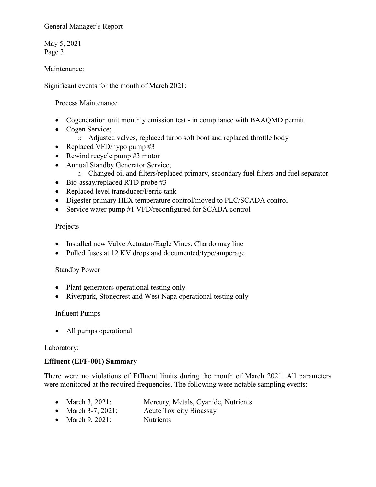May 5, 2021 Page 3

Maintenance:

Significant events for the month of March 2021:

#### Process Maintenance

- Cogeneration unit monthly emission test in compliance with BAAQMD permit
- Cogen Service;
	- o Adjusted valves, replaced turbo soft boot and replaced throttle body
- Replaced VFD/hypo pump #3
- Rewind recycle pump #3 motor
- Annual Standby Generator Service;
	- o Changed oil and filters/replaced primary, secondary fuel filters and fuel separator
- Bio-assay/replaced RTD probe #3
- Replaced level transducer/Ferric tank
- Digester primary HEX temperature control/moved to PLC/SCADA control
- Service water pump #1 VFD/reconfigured for SCADA control

## **Projects**

- Installed new Valve Actuator/Eagle Vines, Chardonnay line
- Pulled fuses at 12 KV drops and documented/type/amperage

## Standby Power

- Plant generators operational testing only
- Riverpark, Stonecrest and West Napa operational testing only

## Influent Pumps

• All pumps operational

#### Laboratory:

## **Effluent (EFF-001) Summary**

There were no violations of Effluent limits during the month of March 2021. All parameters were monitored at the required frequencies. The following were notable sampling events:

- March 3, 2021: Mercury, Metals, Cyanide, Nutrients
- March 3-7, 2021: Acute Toxicity Bioassay
- March 9, 2021: Nutrients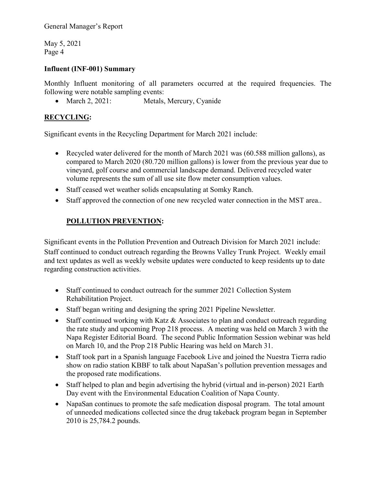May 5, 2021 Page 4

## **Influent (INF-001) Summary**

Monthly Influent monitoring of all parameters occurred at the required frequencies. The following were notable sampling events:

• March 2, 2021: Metals, Mercury, Cyanide

## **RECYCLING:**

Significant events in the Recycling Department for March 2021 include:

- Recycled water delivered for the month of March 2021 was (60.588 million gallons), as compared to March 2020 (80.720 million gallons) is lower from the previous year due to vineyard, golf course and commercial landscape demand. Delivered recycled water volume represents the sum of all use site flow meter consumption values.
- Staff ceased wet weather solids encapsulating at Somky Ranch.
- Staff approved the connection of one new recycled water connection in the MST area..

## **POLLUTION PREVENTION:**

Significant events in the Pollution Prevention and Outreach Division for March 2021 include: Staff continued to conduct outreach regarding the Browns Valley Trunk Project. Weekly email and text updates as well as weekly website updates were conducted to keep residents up to date regarding construction activities.

- Staff continued to conduct outreach for the summer 2021 Collection System Rehabilitation Project.
- Staff began writing and designing the spring 2021 Pipeline Newsletter.
- Staff continued working with Katz & Associates to plan and conduct outreach regarding the rate study and upcoming Prop 218 process. A meeting was held on March 3 with the Napa Register Editorial Board. The second Public Information Session webinar was held on March 10, and the Prop 218 Public Hearing was held on March 31.
- Staff took part in a Spanish language Facebook Live and joined the Nuestra Tierra radio show on radio station KBBF to talk about NapaSan's pollution prevention messages and the proposed rate modifications.
- Staff helped to plan and begin advertising the hybrid (virtual and in-person) 2021 Earth Day event with the Environmental Education Coalition of Napa County.
- NapaSan continues to promote the safe medication disposal program. The total amount of unneeded medications collected since the drug takeback program began in September 2010 is 25,784.2 pounds.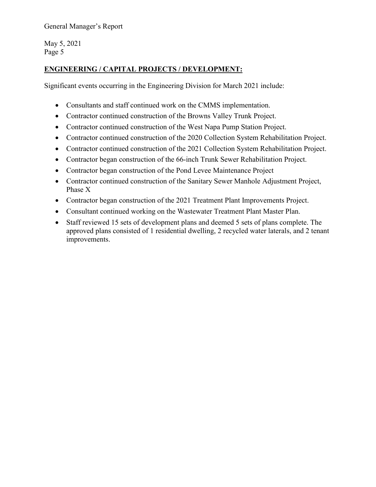May 5, 2021 Page 5

## **ENGINEERING / CAPITAL PROJECTS / DEVELOPMENT:**

Significant events occurring in the Engineering Division for March 2021 include:

- Consultants and staff continued work on the CMMS implementation.
- Contractor continued construction of the Browns Valley Trunk Project.
- Contractor continued construction of the West Napa Pump Station Project.
- Contractor continued construction of the 2020 Collection System Rehabilitation Project.
- Contractor continued construction of the 2021 Collection System Rehabilitation Project.
- Contractor began construction of the 66-inch Trunk Sewer Rehabilitation Project.
- Contractor began construction of the Pond Levee Maintenance Project
- Contractor continued construction of the Sanitary Sewer Manhole Adjustment Project, Phase X
- Contractor began construction of the 2021 Treatment Plant Improvements Project.
- Consultant continued working on the Wastewater Treatment Plant Master Plan.
- Staff reviewed 15 sets of development plans and deemed 5 sets of plans complete. The approved plans consisted of 1 residential dwelling, 2 recycled water laterals, and 2 tenant improvements.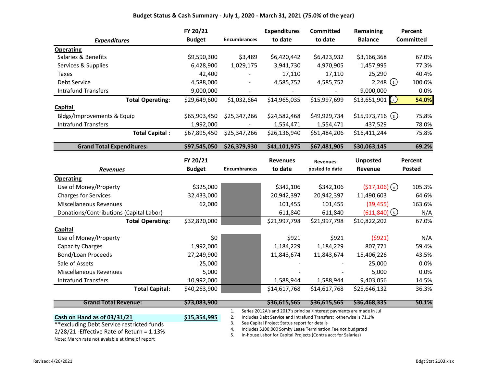#### **Budget Status & Cash Summary ‐ July 1, 2020 ‐ March 31, 2021 (75.0% of the year)**

|                                         | FY 20/21      |                     | <b>Expenditures</b> | <b>Committed</b> | Remaining         | Percent          |
|-----------------------------------------|---------------|---------------------|---------------------|------------------|-------------------|------------------|
| <b>Expenditures</b>                     | <b>Budget</b> | <b>Encumbrances</b> | to date             | to date          | <b>Balance</b>    | <b>Committed</b> |
| <b>Operating</b>                        |               |                     |                     |                  |                   |                  |
| Salaries & Benefits                     | \$9,590,300   | \$3,489             | \$6,420,442         | \$6,423,932      | \$3,166,368       | 67.0%            |
| Services & Supplies                     | 6,428,900     | 1,029,175           | 3,941,730           | 4,970,905        | 1,457,995         | 77.3%            |
| <b>Taxes</b>                            | 42,400        |                     | 17,110              | 17,110           | 25,290            | 40.4%            |
| Debt Service                            | 4,588,000     |                     | 4,585,752           | 4,585,752        | $2,248$ (1)       | 100.0%           |
| <b>Intrafund Transfers</b>              | 9,000,000     |                     |                     |                  | 9,000,000         | 0.0%             |
| <b>Total Operating:</b>                 | \$29,649,600  | \$1,032,664         | \$14,965,035        | \$15,997,699     | $$13,651,901$ (2) | 54.0%            |
| <b>Capital</b>                          |               |                     |                     |                  |                   |                  |
| Bldgs/Improvements & Equip              | \$65,903,450  | \$25,347,266        | \$24,582,468        | \$49,929,734     | $$15,973,716$ (3) | 75.8%            |
| <b>Intrafund Transfers</b>              | 1,992,000     |                     | 1,554,471           | 1,554,471        | 437,529           | 78.0%            |
| <b>Total Capital:</b>                   | \$67,895,450  | \$25,347,266        | \$26,136,940        | \$51,484,206     | \$16,411,244      | 75.8%            |
| <b>Grand Total Expenditures:</b>        | \$97,545,050  | \$26,379,930        | \$41,101,975        | \$67,481,905     | \$30,063,145      | 69.2%            |
|                                         | FY 20/21      |                     | <b>Revenues</b>     | <b>Revenues</b>  | <b>Unposted</b>   | Percent          |
|                                         |               |                     |                     |                  |                   |                  |
| <b>Revenues</b>                         | <b>Budget</b> | <b>Encumbrances</b> | to date             | posted to date   | Revenue           | <b>Posted</b>    |
| <b>Operating</b>                        |               |                     |                     |                  |                   |                  |
| Use of Money/Property                   | \$325,000     |                     | \$342,106           | \$342,106        | $(517, 106)$ (4)  | 105.3%           |
| <b>Charges for Services</b>             | 32,433,000    |                     | 20,942,397          | 20,942,397       | 11,490,603        | 64.6%            |
| <b>Miscellaneous Revenues</b>           | 62,000        |                     | 101,455             | 101,455          | (39, 455)         | 163.6%           |
| Donations/Contributions (Capital Labor) |               |                     | 611,840             | 611,840          | (611,840)(5)      | N/A              |
| <b>Total Operating:</b>                 | \$32,820,000  |                     | \$21,997,798        | \$21,997,798     | \$10,822,202      | 67.0%            |
| <b>Capital</b>                          |               |                     |                     |                  |                   |                  |
| Use of Money/Property                   | \$0           |                     | \$921               | \$921            | (5921)            | N/A              |
| <b>Capacity Charges</b>                 | 1,992,000     |                     | 1,184,229           | 1,184,229        | 807,771           | 59.4%            |
| <b>Bond/Loan Proceeds</b>               | 27,249,900    |                     | 11,843,674          | 11,843,674       | 15,406,226        | 43.5%            |
| Sale of Assets                          | 25,000        |                     |                     |                  | 25,000            | 0.0%             |
| <b>Miscellaneous Revenues</b>           | 5,000         |                     |                     |                  | 5,000             | 0.0%             |
| <b>Intrafund Transfers</b>              | 10,992,000    |                     | 1,588,944           | 1,588,944        | 9,403,056         | 14.5%            |

| <b>Grand Total Revenue:</b>                     | S73.083.900  | S36.615.565                                                           | S36.615.565 | S36.468.335 | 50.1% |
|-------------------------------------------------|--------------|-----------------------------------------------------------------------|-------------|-------------|-------|
|                                                 |              | Series 2012A's and 2017's principal/interest payments are made in Jul |             |             |       |
| Cash on Hand as of 03/31/21                     | \$15,354,995 | Includes Debt Service and Intrafund Transfers; otherwise is 71.1%     |             |             |       |
| **excluding Debt Service restricted funds       |              | See Capital Project Status report for details                         |             |             |       |
| $2/28/21$ -Effective Rate of Return = 1.13%     |              | Includes \$100,000 Somky Lease Termination Fee not budgeted           |             |             |       |
|                                                 |              | In-house Labor for Capital Projects (Contra acct for Salaries)        |             |             |       |
| Note: March rate not avaiable at time of report |              |                                                                       |             |             |       |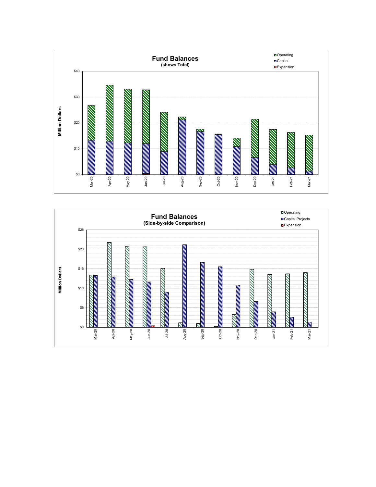

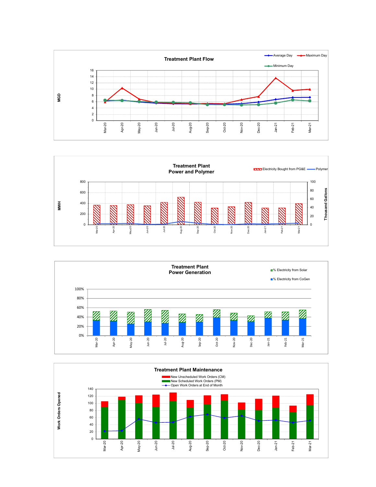





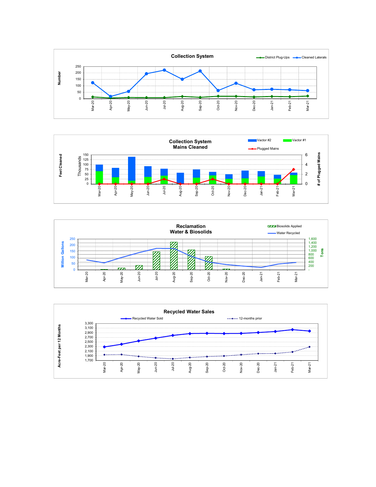





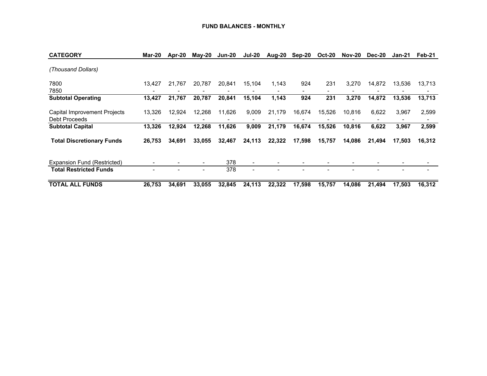#### **FUND BALANCES - MONTHLY**

| <b>CATEGORY</b>                               | Mar-20      | Apr-20 | May-20 | <b>Jun-20</b> | <b>Jul-20</b>  | Aug-20                            | $Sep-20$ | <b>Oct-20</b> | <b>Nov-20</b> | Dec-20 | Jan-21 | Feb-21 |
|-----------------------------------------------|-------------|--------|--------|---------------|----------------|-----------------------------------|----------|---------------|---------------|--------|--------|--------|
| (Thousand Dollars)                            |             |        |        |               |                |                                   |          |               |               |        |        |        |
| 7800<br>7850                                  | 13,427<br>- | 21.767 | 20.787 | 20.841        | 15,104         | 1.143<br>$\overline{\phantom{0}}$ | 924      | 231           | 3.270         | 14,872 | 13,536 | 13,713 |
| <b>Subtotal Operating</b>                     | 13,427      | 21,767 | 20,787 | 20,841        | 15,104         | 1,143                             | 924      | 231           | 3,270         | 14,872 | 13,536 | 13,713 |
| Capital Improvement Projects<br>Debt Proceeds | 13,326      | 12,924 | 12,268 | 11,626        | 9,009          | 21,179                            | 16,674   | 15,526        | 10,816        | 6,622  | 3,967  | 2,599  |
| <b>Subtotal Capital</b>                       | 13,326      | 12,924 | 12,268 | 11,626        | 9,009          | 21,179                            | 16,674   | 15,526        | 10,816        | 6,622  | 3,967  | 2,599  |
| <b>Total Discretionary Funds</b>              | 26,753      | 34,691 | 33,055 | 32,467        | 24,113         | 22,322                            | 17,598   | 15,757        | 14,086        | 21,494 | 17,503 | 16,312 |
| Expansion Fund (Restricted)                   |             |        |        | 378           | $\blacksquare$ |                                   |          |               | -             |        |        |        |
| <b>Total Restricted Funds</b>                 | -           |        |        | 378           |                |                                   |          |               |               |        |        |        |
| <b>TOTAL ALL FUNDS</b>                        | 26,753      | 34,691 | 33,055 | 32,845        | 24,113         | 22,322                            | 17,598   | 15,757        | 14,086        | 21,494 | 17,503 | 16,312 |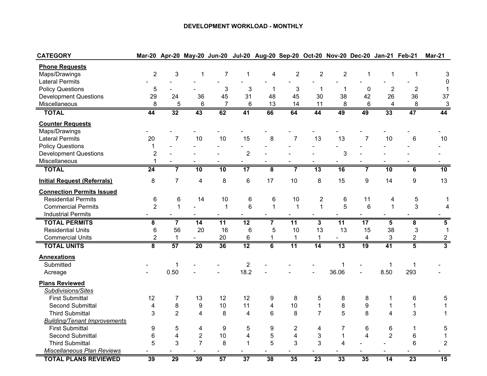#### **DEVELOPMENT WORKLOAD - MONTHLY**

| <b>CATEGORY</b>                     |                         |                         | Mar-20 Apr-20 May-20 Jun-20 Jul-20 Aug-20 Sep-20 Oct-20 Nov-20 Dec-20 Jan-21 Feb-21 |                 |                          |                         |                         |                 |                 |                         |                         |                           | <b>Mar-21</b>             |
|-------------------------------------|-------------------------|-------------------------|-------------------------------------------------------------------------------------|-----------------|--------------------------|-------------------------|-------------------------|-----------------|-----------------|-------------------------|-------------------------|---------------------------|---------------------------|
| <b>Phone Requests</b>               |                         |                         |                                                                                     |                 |                          |                         |                         |                 |                 |                         |                         |                           |                           |
| Maps/Drawings                       | $\overline{2}$          | 3                       | 1                                                                                   | $\overline{7}$  | $\mathbf 1$              | 4                       | $\overline{2}$          | $\overline{2}$  | $\overline{c}$  | 1                       | 1                       | 1                         | 3                         |
| <b>Lateral Permits</b>              |                         |                         |                                                                                     |                 |                          |                         |                         |                 |                 |                         |                         |                           | 0                         |
| <b>Policy Questions</b>             | 5                       |                         |                                                                                     | 3               | 3                        | 1                       | 3                       | $\mathbf{1}$    | $\mathbf 1$     | $\mathbf 0$             | $\overline{2}$          | $\overline{2}$            | $\mathbf{1}$              |
| <b>Development Questions</b>        | 29                      | 24                      | 36                                                                                  | 45              | 31                       | 48                      | 45                      | 30              | 38              | 42                      | 26                      | 36                        | 37                        |
| Miscellaneous                       | 8                       | $\overline{5}$          | $6\phantom{1}6$                                                                     | $\overline{7}$  | 6                        | 13                      | 14                      | 11              | 8               | $6\phantom{1}6$         | $\overline{4}$          | 8                         | $\ensuremath{\mathsf{3}}$ |
| <b>TOTAL</b>                        | 44                      | 32                      | 43                                                                                  | 62              | 41                       | 66                      | 64                      | 44              | 49              | 49                      | 33                      | 47                        | 44                        |
| <b>Counter Requests</b>             |                         |                         |                                                                                     |                 |                          |                         |                         |                 |                 |                         |                         |                           |                           |
| Maps/Drawings                       |                         |                         |                                                                                     |                 |                          |                         |                         |                 |                 |                         |                         |                           |                           |
| <b>Lateral Permits</b>              | 20                      | $\overline{7}$          | 10                                                                                  | 10              | 15                       | 8                       | $\overline{7}$          | 13              | 13              | $\overline{7}$          | 10                      | $6\phantom{1}6$           | $10$                      |
| <b>Policy Questions</b>             | $\mathbf{1}$            |                         |                                                                                     |                 |                          |                         |                         |                 |                 |                         |                         |                           |                           |
| <b>Development Questions</b>        | $\overline{2}$          |                         |                                                                                     |                 | $\overline{\mathbf{c}}$  |                         |                         |                 | 3               |                         |                         |                           |                           |
| Miscellaneous                       | 1                       |                         |                                                                                     |                 | $\overline{\phantom{0}}$ | $\blacksquare$          |                         |                 |                 |                         |                         |                           |                           |
| <b>TOTAL</b>                        | 24                      | $\overline{\mathbf{7}}$ | 10                                                                                  | 10              | 17                       | $\overline{\mathbf{8}}$ | $\overline{\mathbf{7}}$ | 13              | 16              | $\overline{\mathbf{7}}$ | 10                      | 6                         | 10                        |
| <b>Initial Request (Referrals)</b>  | 8                       | $\overline{7}$          | $\overline{4}$                                                                      | 8               | $\,6$                    | 17                      | 10                      | 8               | 15              | $\boldsymbol{9}$        | 14                      | $\boldsymbol{9}$          | 13                        |
| <b>Connection Permits Issued</b>    |                         |                         |                                                                                     |                 |                          |                         |                         |                 |                 |                         |                         |                           |                           |
| <b>Residential Permits</b>          | 6                       | $\,6$                   | 14                                                                                  | 10              | 6                        | 6                       | 10                      | $\overline{c}$  | $\,6$           | 11                      | 4                       | 5                         | 1                         |
| <b>Commercial Permits</b>           | $\overline{2}$          | $\mathbf{1}$            |                                                                                     | $\mathbf 1$     | 6                        | $\mathbf{1}$            | $\mathbf{1}$            | $\mathbf{1}$    | 5               | $6\phantom{1}6$         | $\mathbf{1}$            | 3                         | $\overline{4}$            |
| <b>Industrial Permits</b>           |                         |                         |                                                                                     |                 |                          |                         |                         |                 |                 |                         |                         |                           |                           |
| <b>TOTAL PERMITS</b>                | $\overline{\mathbf{8}}$ | $\overline{\mathbf{7}}$ | $\overline{14}$                                                                     | $\overline{11}$ | $\overline{12}$          | $\overline{\mathbf{7}}$ | 11                      | 3               | $\overline{11}$ | $\overline{17}$         | $\overline{\mathbf{5}}$ | $\overline{\mathbf{8}}$   | $\overline{\mathbf{5}}$   |
| <b>Residential Units</b>            | $\,6$                   | 56                      | 20                                                                                  | 16              | 6                        | 5                       | 10                      | 13              | 13              | 15                      | 38                      | $\ensuremath{\mathsf{3}}$ | $\mathbf{1}$              |
| <b>Commercial Units</b>             | $\boldsymbol{2}$        | 1                       |                                                                                     | 20              | 6                        | 1                       | 1                       | $\mathbf 1$     |                 | 4                       | 3                       | $\overline{\mathbf{c}}$   | $\overline{\mathbf{c}}$   |
| <b>TOTAL UNITS</b>                  | 8                       | 57                      | $\overline{20}$                                                                     | $\overline{36}$ | $\overline{12}$          | $\overline{\mathbf{6}}$ | 11                      | 14              | $\overline{13}$ | 19                      | 41                      | $\overline{5}$            | $\overline{\overline{3}}$ |
| <b>Annexations</b>                  |                         |                         |                                                                                     |                 |                          |                         |                         |                 |                 |                         |                         |                           |                           |
| Submitted                           |                         | 1                       |                                                                                     |                 | $\boldsymbol{2}$         |                         |                         |                 | $\mathbf{1}$    |                         | $\mathbf{1}$            | $\mathbf{1}$              |                           |
| Acreage                             |                         | 0.50                    |                                                                                     |                 | 18.2                     |                         |                         |                 | 36.06           |                         | 8.50                    | 293                       |                           |
| <b>Plans Reviewed</b>               |                         |                         |                                                                                     |                 |                          |                         |                         |                 |                 |                         |                         |                           |                           |
| Subdivisions/Sites                  |                         |                         |                                                                                     |                 |                          |                         |                         |                 |                 |                         |                         |                           |                           |
| <b>First Submittal</b>              | 12                      | $\overline{7}$          | 13                                                                                  | 12              | 12                       | 9                       | 8                       | 5               | 8               | 8                       | 1                       | $\,6$                     | 5                         |
| Second Submittal                    | $\overline{\mathbf{4}}$ | 8                       | $\boldsymbol{9}$                                                                    | 10              | 11                       | $\overline{\mathbf{4}}$ | 10                      | $\mathbf{1}$    | 8               | $\boldsymbol{9}$        | $\mathbf{1}$            | $\mathbf 1$               | $\mathbf 1$               |
| <b>Third Submittal</b>              | 3                       | $\overline{2}$          | 4                                                                                   | 8               | $\overline{\mathbf{4}}$  | 6                       | 8                       | $\overline{7}$  | 5               | 8                       | 4                       | 3                         | $\mathbf 1$               |
| <b>Building/Tenant Improvements</b> |                         |                         |                                                                                     |                 |                          |                         |                         |                 |                 |                         |                         |                           |                           |
| <b>First Submittal</b>              | 9                       | 5                       | 4                                                                                   | 9               | 5                        | 9                       | $\overline{\mathbf{c}}$ | 4               | $\overline{7}$  | 6                       | 6                       | 1                         | 5                         |
| <b>Second Submittal</b>             | 6                       | $\overline{\mathbf{4}}$ | $\overline{2}$                                                                      | 10              | $\overline{\mathbf{4}}$  | 5                       | $\overline{\mathbf{4}}$ | 3               | $\mathbf{1}$    | $\overline{4}$          | $\overline{2}$          | $\,6$                     | $\mathbf 1$               |
| <b>Third Submittal</b>              | 5                       | 3                       | $\overline{7}$                                                                      | 8               | $\mathbf 1$              | 5                       | 3                       | 3               | 4               |                         |                         | $\,6$                     | $\overline{c}$            |
| <b>Miscellaneous Plan Reviews</b>   |                         |                         |                                                                                     |                 |                          |                         |                         |                 |                 |                         |                         |                           |                           |
| <b>TOTAL PLANS REVIEWED</b>         | 39                      | $\overline{29}$         | 39                                                                                  | 57              | $\overline{37}$          | 38                      | 35                      | $\overline{23}$ | 33              | 35                      | 14                      | $\overline{23}$           | 15                        |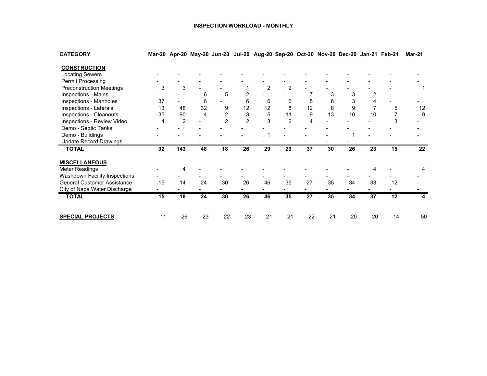#### **INSPECTION WORKLOAD - MONTHLY**

| <b>CATEGORY</b>                    |    |                | Mar-20 Apr-20 May-20 Jun-20 |                |                | Jul-20 Aug-20 Sep-20 Oct-20 Nov-20 Dec-20 Jan-21 Feb-21 |                |    |    |    |    |    | Mar-21 |
|------------------------------------|----|----------------|-----------------------------|----------------|----------------|---------------------------------------------------------|----------------|----|----|----|----|----|--------|
| <b>CONSTRUCTION</b>                |    |                |                             |                |                |                                                         |                |    |    |    |    |    |        |
| <b>Locating Sewers</b>             |    |                |                             |                |                |                                                         |                |    |    |    |    |    |        |
| <b>Permit Processing</b>           |    |                |                             |                |                |                                                         |                |    |    |    |    |    |        |
| <b>Preconstruction Meetings</b>    | 3  | 3              |                             |                |                | $\overline{2}$                                          | $\overline{2}$ |    |    |    |    |    |        |
| <b>Inspections - Mains</b>         |    |                | 6                           | 5              | 2              |                                                         |                |    | 3  | 3  | 2  |    |        |
| Inspections - Manholes             | 37 |                | 6                           |                | 6              | 6                                                       | 6              | 5  | 6  | 3  | 4  |    |        |
| Inspections - Laterals             | 13 | 48             | 32                          | 9              | 12             | 12                                                      | 8              | 12 | 8  | 9  |    | 5  | 12     |
| Inspections - Cleanouts            | 35 | 90             | 4                           | $\overline{2}$ | 3              | 5                                                       | 11             | 9  | 13 | 10 | 10 |    | 9      |
| Inspections - Review Video         | 4  | $\overline{2}$ |                             | $\overline{2}$ | $\overline{2}$ | 3                                                       | $\overline{2}$ |    |    |    |    | 3  |        |
| Demo - Septic Tanks                |    |                |                             |                |                |                                                         |                |    |    |    |    |    |        |
| Demo - Buildings                   |    |                |                             |                |                |                                                         |                |    |    |    |    |    |        |
| <b>Update Record Drawings</b>      |    |                |                             |                |                |                                                         |                |    |    |    |    |    |        |
| <b>TOTAL</b>                       | 92 | 143            | 48                          | 18             | 26             | 29                                                      | 29             | 37 | 30 | 26 | 23 | 15 | 22     |
| <b>MISCELLANEOUS</b>               |    |                |                             |                |                |                                                         |                |    |    |    |    |    |        |
| Meter Readings                     |    | 4              |                             |                |                |                                                         |                |    |    |    |    |    |        |
| Washdown Facility Inspections      |    |                |                             |                |                |                                                         |                |    |    |    |    |    |        |
| <b>General Customer Assistance</b> | 15 | 14             | 24                          | 30             | 26             | 46                                                      | 35             | 27 | 35 | 34 | 33 | 12 |        |
| City of Napa Water Discharge       |    |                |                             |                |                |                                                         |                |    |    |    |    |    |        |
| <b>TOTAL</b>                       | 15 | 18             | 24                          | 30             | 26             | 46                                                      | 35             | 27 | 35 | 34 | 37 | 12 |        |
| <b>SPECIAL PROJECTS</b>            | 11 | 26             | 23                          | 22             | 23             | 21                                                      | 21             | 22 | 21 | 20 | 20 | 14 | 50     |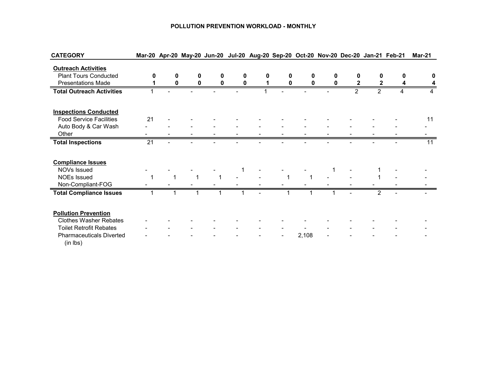#### **POLLUTION PREVENTION WORKLOAD - MONTHLY**

| <b>CATEGORY</b>                             |    |   |   |   |   |   | Mar-20 Apr-20 May-20 Jun-20 Jul-20 Aug-20 Sep-20 Oct-20 Nov-20 Dec-20 Jan-21 Feb-21 |       |   |   |                |   | <b>Mar-21</b> |
|---------------------------------------------|----|---|---|---|---|---|-------------------------------------------------------------------------------------|-------|---|---|----------------|---|---------------|
| <b>Outreach Activities</b>                  |    |   |   |   |   |   |                                                                                     |       |   |   |                |   |               |
| <b>Plant Tours Conducted</b>                | 0  | 0 | 0 | 0 | 0 | 0 | 0                                                                                   | 0     | 0 | 0 | 0              | 0 | o             |
| <b>Presentations Made</b>                   |    | 0 | 0 | 0 | 0 |   | 0                                                                                   |       |   |   | $\mathbf{2}$   |   |               |
| <b>Total Outreach Activities</b>            |    |   |   |   |   |   |                                                                                     |       |   |   | 2              |   |               |
| <b>Inspections Conducted</b>                |    |   |   |   |   |   |                                                                                     |       |   |   |                |   |               |
| <b>Food Service Facilities</b>              | 21 |   |   |   |   |   |                                                                                     |       |   |   |                |   | 11            |
| Auto Body & Car Wash                        |    |   |   |   |   |   |                                                                                     |       |   |   |                |   |               |
| Other                                       |    |   |   |   |   |   |                                                                                     |       |   |   |                |   |               |
| <b>Total Inspections</b>                    | 21 |   |   |   |   |   |                                                                                     |       |   |   |                |   | 11            |
| <b>Compliance Issues</b>                    |    |   |   |   |   |   |                                                                                     |       |   |   |                |   |               |
| NOVs Issued                                 |    |   |   |   |   |   |                                                                                     |       |   |   |                |   |               |
| <b>NOEs Issued</b>                          |    |   | 1 |   |   |   |                                                                                     |       |   |   |                |   |               |
| Non-Compliant-FOG                           |    |   |   |   |   |   |                                                                                     |       |   |   |                |   |               |
| <b>Total Compliance Issues</b>              |    |   |   |   |   |   |                                                                                     |       |   |   | $\mathfrak{p}$ |   |               |
| <b>Pollution Prevention</b>                 |    |   |   |   |   |   |                                                                                     |       |   |   |                |   |               |
| <b>Clothes Washer Rebates</b>               |    |   |   |   |   |   |                                                                                     |       |   |   |                |   |               |
| <b>Toilet Retrofit Rebates</b>              |    |   |   |   |   |   |                                                                                     |       |   |   |                |   |               |
| <b>Pharmaceuticals Diverted</b><br>(in lbs) |    |   |   |   |   |   |                                                                                     | 2,108 |   |   |                |   |               |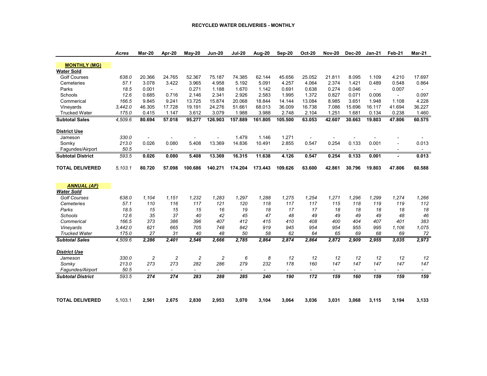#### **RECYCLED WATER DELIVERIES - MONTHLY**

|                                          | <b>Acres</b> | Mar-20           | Apr-20                            | <b>May-20</b>  | <b>Jun-20</b>  | <b>Jul-20</b>            | Aug-20                   | Sep-20                   | <b>Oct-20</b>    | <b>Nov-20</b>            | <b>Dec-20</b> | <b>Jan-21</b>    | Feb-21                   | Mar-21                   |
|------------------------------------------|--------------|------------------|-----------------------------------|----------------|----------------|--------------------------|--------------------------|--------------------------|------------------|--------------------------|---------------|------------------|--------------------------|--------------------------|
|                                          |              |                  |                                   |                |                |                          |                          |                          |                  |                          |               |                  |                          |                          |
| <b>MONTHLY (MG)</b>                      |              |                  |                                   |                |                |                          |                          |                          |                  |                          |               |                  |                          |                          |
| <b>Water Sold</b><br><b>Golf Courses</b> | 638.0        | 20.366           | 24.765                            | 52.367         | 75.187         | 74.385                   | 62.144                   | 45.656                   | 25.052           | 21.811                   | 8.095         | 1.109            | 4.210                    | 17.697                   |
| Cemeteries                               | 57.1         | 3.078            | 3.422                             | 3.965          | 4.958          | 5.192                    | 5.091                    | 4.257                    | 4.064            | 2.374                    | 1.421         | 0.489            | 0.548                    | 0.864                    |
| Parks                                    | 18.5         | 0.001            |                                   | 0.271          | 1.188          | 1.670                    | 1.142                    | 0.691                    | 0.638            | 0.274                    | 0.046         | $\sim$           | 0.007                    |                          |
| Schools                                  | 12.6         | 0.685            | $\overline{\phantom{a}}$<br>0.716 | 2.146          | 2.341          | 2.926                    | 2.583                    | 1.995                    | 1.372            | 0.827                    | 0.071         | 0.006            | $\overline{\phantom{0}}$ | 0.097                    |
| Commerical                               | 166.5        | 9.845            | 9.241                             | 13.725         | 15.874         | 20.068                   | 18.844                   | 14.144                   | 13.084           | 8.985                    | 3.651         | 1.948            | 1.108                    | 4.228                    |
| Vineyards                                | 3,442.0      | 46.305           | 17.728                            | 19.191         | 24.276         | 51.661                   | 68.013                   | 36.009                   | 16.738           | 7.086                    | 15.696        | 16.117           | 41.694                   | 36.227                   |
| <b>Trucked Water</b>                     | 175.0        | 0.415            | 1.147                             | 3.612          | 3.079          | 1.988                    | 3.988                    | 2.748                    | 2.104            | 1.251                    | 1.681         | 0.134            | 0.238                    | 1.460                    |
| <b>Subtotal Sales</b>                    | 4.509.6      | 80.694           | 57.018                            | 95.277         | 126.903        | 157.889                  | 161.805                  | 105.500                  | 63.053           | 42.607                   | 30.663        | 19.803           | 47.806                   | 60.575                   |
|                                          |              |                  |                                   |                |                |                          |                          |                          |                  |                          |               |                  |                          |                          |
| <b>District Use</b>                      |              |                  |                                   |                |                |                          |                          |                          |                  |                          |               |                  |                          |                          |
| Jameson                                  | 330.0        | $\blacksquare$   | $\overline{\phantom{0}}$          |                |                | 1.479                    | 1.146                    | 1.271                    | $\blacksquare$   |                          |               |                  |                          |                          |
| Somky                                    | 213.0        | 0.026            | 0.080                             | 5.408          | 13.369         | 14.836                   | 10.491                   | 2.855                    | 0.547            | 0.254                    | 0.133         | 0.001            |                          | 0.013                    |
| Fagundes/Airport                         | 50.5         |                  | $\blacksquare$                    |                |                | $\overline{\phantom{a}}$ | $\overline{\phantom{0}}$ |                          |                  | $\overline{\phantom{a}}$ |               |                  | $\overline{\phantom{a}}$ |                          |
| <b>Subtotal District</b>                 | 593.5        | 0.026            | 0.080                             | 5.408          | 13.369         | 16.315                   | 11.638                   | 4.126                    | 0.547            | 0.254                    | 0.133         | 0.001            |                          | 0.013                    |
| <b>TOTAL DELIVERED</b>                   | 5,103.1      | 80.720           | 57.098                            | 100.686        | 140.271        | 174.204                  | 173.443                  | 109.626                  | 63.600           | 42.861                   | 30.796        | 19.803           | 47.806                   | 60.588                   |
| <b>ANNUAL (AF)</b>                       |              |                  |                                   |                |                |                          |                          |                          |                  |                          |               |                  |                          |                          |
| <b>Water Sold</b>                        |              |                  |                                   |                |                |                          |                          |                          |                  |                          |               |                  |                          |                          |
| <b>Golf Courses</b>                      | 638.0        | 1,104            | 1.151                             | 1,232          | 1,283          | 1,297                    | 1,288                    | 1,275                    | 1,254            | 1,271                    | 1,296         | 1,299            | 1,274                    | 1,266                    |
| Cemeteries                               | 57.1         | 110              | 116                               | 117            | 121            | 120                      | 118                      | 117                      | 117              | 115                      | 118           | 119              | 119                      | 112                      |
| Parks                                    | 18.5         | 15               | 15                                | 15             | 16             | 19                       | 18                       | 17                       | 17               | 18                       | 18            | 18               | 18                       | 18                       |
| Schools                                  | 12.6         | 35               | 37                                | 40             | 42             | 45                       | 47                       | 48                       | 49               | 49                       | 49            | 49               | 48                       | 46                       |
| Commerical                               | 166.5        | 373              | 386                               | 396            | 407            | 412                      | 415                      | 410                      | 408              | 400                      | 404           | 407              | 401                      | 383                      |
| Vineyards                                | 3,442.0      | 621              | 665                               | 705            | 748            | 842                      | 919                      | 945                      | 954              | 954                      | 955           | 995              | 1,106                    | 1,075                    |
| <b>Trucked Water</b>                     | 175.0        | 27               | 31                                | 40             | 48             | 50                       | 58                       | 62                       | 64               | 65                       | 69            | 68               | 69                       | 72                       |
| <b>Subtotal Sales</b>                    | 4,509.6      | 2,286            | 2,401                             | 2.546          | 2,666          | 2.785                    | 2,864                    | 2,874                    | 2,864            | 2,872                    | 2.909         | 2.955            | 3,035                    | 2,973                    |
| <b>District Use</b>                      |              |                  |                                   |                |                |                          |                          |                          |                  |                          |               |                  |                          |                          |
| Jameson                                  | 330.0        | $\overline{c}$   | $\overline{c}$                    | $\overline{c}$ | $\overline{c}$ | 6                        | 8                        | 12                       | 12               | 12                       | 12            | 12               | 12                       | 12                       |
| Somkv                                    | 213.0        | 273              | 273                               | 282            | 286            | 279                      | 232                      | 178                      | 160              | 147                      | 147           | 147              | 147                      | 147                      |
| Fagundes/Airport                         | 50.5         | $\overline{a}$   | $\overline{\phantom{a}}$          |                | $\overline{a}$ | $\overline{\phantom{a}}$ | $\overline{a}$           | $\overline{\phantom{a}}$ | $\overline{a}$   | $\overline{a}$           |               |                  | ۰                        | $\overline{\phantom{a}}$ |
| <b>Subtotal District</b>                 | 593.5        | $\overline{274}$ | 274                               | 283            | 288            | 285                      | 240                      | 190                      | $\overline{172}$ | 159                      | 160           | $\overline{159}$ | $\overline{159}$         | 159                      |
|                                          |              |                  |                                   |                |                |                          |                          |                          |                  |                          |               |                  |                          |                          |
| <b>TOTAL DELIVERED</b>                   | 5,103.1      | 2,561            | 2,675                             | 2,830          | 2,953          | 3,070                    | 3,104                    | 3,064                    | 3,036            | 3,031                    | 3,068         | 3,115            | 3,194                    | 3,133                    |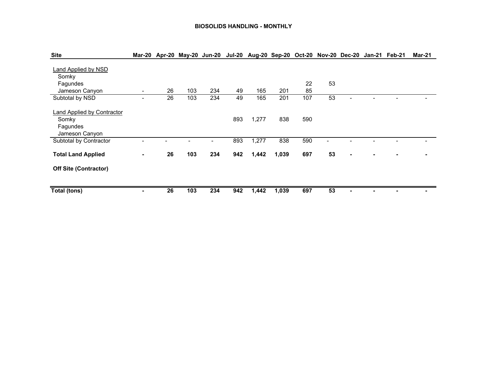#### **BIOSOLIDS HANDLING - MONTHLY**

| <b>Site</b>                                                              | Mar-20         |    |     |     |     | Apr-20 May-20 Jun-20 Jul-20 Aug-20 Sep-20 Oct-20 Nov-20 Dec-20 Jan-21 Feb-21 |       |     |    |                |  | <b>Mar-21</b> |
|--------------------------------------------------------------------------|----------------|----|-----|-----|-----|------------------------------------------------------------------------------|-------|-----|----|----------------|--|---------------|
| Land Applied by NSD<br>Somky                                             |                |    |     |     |     |                                                                              |       |     |    |                |  |               |
| Fagundes                                                                 |                |    |     |     |     |                                                                              |       | 22  | 53 |                |  |               |
| Jameson Canyon                                                           | $\blacksquare$ | 26 | 103 | 234 | 49  | 165                                                                          | 201   | 85  |    |                |  |               |
| Subtotal by NSD                                                          | -              | 26 | 103 | 234 | 49  | 165                                                                          | 201   | 107 | 53 |                |  |               |
| <b>Land Applied by Contractor</b><br>Somky<br>Fagundes<br>Jameson Canyon |                |    |     |     | 893 | 1,277                                                                        | 838   | 590 |    |                |  |               |
| Subtotal by Contractor                                                   |                |    |     | -   | 893 | 1,277                                                                        | 838   | 590 |    |                |  |               |
| <b>Total Land Applied</b>                                                | $\blacksquare$ | 26 | 103 | 234 | 942 | 1,442                                                                        | 1,039 | 697 | 53 | $\blacksquare$ |  |               |
| Off Site (Contractor)                                                    |                |    |     |     |     |                                                                              |       |     |    |                |  |               |
| Total (tons)                                                             | $\blacksquare$ | 26 | 103 | 234 | 942 | 1,442                                                                        | 1,039 | 697 | 53 |                |  |               |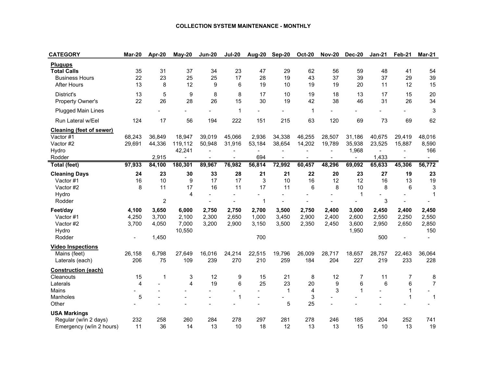#### **COLLECTION SYSTEM MAINTENANCE - MONTHLY**

| <b>CATEGORY</b>                 | Mar-20 | Apr-20         | May-20  | <b>Jun-20</b> | <b>Jul-20</b>  | Aug-20         | <b>Sep-20</b>  | <b>Oct-20</b>  | <b>Nov-20</b>  | <b>Dec-20</b>  | <b>Jan-21</b>   | Feb-21         | <b>Mar-21</b>  |
|---------------------------------|--------|----------------|---------|---------------|----------------|----------------|----------------|----------------|----------------|----------------|-----------------|----------------|----------------|
| <b>Plugups</b>                  |        |                |         |               |                |                |                |                |                |                |                 |                |                |
| <b>Total Calls</b>              | 35     | 31             | 37      | 34            | 23             | 47             | 29             | 62             | 56             | 59             | 48              | 41             | 54             |
| <b>Business Hours</b>           | 22     | 23             | 25      | 25            | 17             | 28             | 19             | 43             | 37             | 39             | 37              | 29             | 39             |
| <b>After Hours</b>              | 13     | 8              | 12      | 9             | 6              | 19             | 10             | 19             | 19             | 20             | 11              | 12             | 15             |
| District's                      | 13     | 5              | 9       | 8             | 8              | 17             | 10             | 19             | 18             | 13             | 17              | 15             | 20             |
| Property Owner's                | 22     | 26             | 28      | 26            | 15             | 30             | 19             | 42             | 38             | 46             | 31              | 26             | 34             |
| <b>Plugged Main Lines</b>       |        |                |         |               | $\mathbf 1$    |                |                | $\mathbf{1}$   |                |                |                 |                | 3              |
| Run Lateral w/Eel               | 124    | 17             | 56      | 194           | 222            | 151            | 215            | 63             | 120            | 69             | 73              | 69             | 62             |
| <b>Cleaning (feet of sewer)</b> |        |                |         |               |                |                |                |                |                |                |                 |                |                |
| Vactor #1                       | 68,243 | 36,849         | 18,947  | 39,019        | 45,066         | 2,936          | 34,338         | 46,255         | 28,507         | 31,186         | 40,675          | 29,419         | 48,016         |
| Vactor #2                       | 29,691 | 44,336         | 119,112 | 50,948        | 31,916         | 53,184         | 38,654         | 14,202         | 19,789         | 35,938         | 23,525          | 15,887         | 8,590          |
| Hydro                           |        |                | 42,241  |               |                | $\blacksquare$ |                |                | $\blacksquare$ | 1,968          | $\overline{a}$  | $\blacksquare$ | 166            |
| Rodder                          |        | 2,915          |         |               | $\overline{a}$ | 694            | $\blacksquare$ | $\overline{a}$ | $\sim$         | $\blacksquare$ | 1,433           | $\sim$         | $\blacksquare$ |
| <b>Total (feet)</b>             | 97,933 | 84,100         | 180,301 | 89,967        | 76,982         | 56,814         | 72,992         | 60,457         | 48,296         | 69,092         | 65,633          | 45,306         | 56,772         |
| <b>Cleaning Days</b>            | 24     | 23             | 30      | 33            | 28             | 21             | 21             | 22             | 20             | 23             | 27              | 19             | 23             |
| Vactor #1                       | 16     | 10             | 9       | 17            | 17             | 3              | 10             | 16             | 12             | 12             | 16              | 13             | 19             |
| Vactor #2                       | 8      | 11             | 17      | 16            | 11             | 17             | 11             | 6              | 8              | 10             | 8               | 6              | 3              |
| Hydro                           |        |                | 4       |               |                |                |                |                |                | 1              |                 |                | 1              |
| Rodder                          |        | $\overline{c}$ |         |               |                | 1              |                |                |                |                | 3               |                |                |
| Feet/day                        | 4,100  | 3,650          | 6,000   | 2,750         | 2,750          | 2,700          | 3,500          | 2,750          | 2,400          | 3,000          | 2,450           | 2,400          | 2,450          |
| Vactor #1                       | 4,250  | 3,700          | 2,100   | 2,300         | 2,650          | 1,000          | 3,450          | 2,900          | 2,400          | 2,600          | 2,550           | 2,250          | 2,550          |
| Vactor #2                       | 3,700  | 4,050          | 7,000   | 3,200         | 2,900          | 3,150          | 3,500          | 2,350          | 2,450          | 3,600          | 2,950           | 2,650          | 2,850          |
| Hydro                           |        |                | 10,550  |               |                |                |                |                |                | 1,950          |                 |                | 150            |
| Rodder                          |        | 1,450          |         |               |                | 700            |                |                |                |                | 500             |                |                |
| <b>Video Inspections</b>        |        |                |         |               |                |                |                |                |                |                |                 |                |                |
| Mains (feet)                    | 26,158 | 6,798          | 27,649  | 16,016        | 24,214         | 22,515         | 19,796         | 26,009         | 28,717         | 18,657         | 28,757          | 22,463         | 36,064         |
| Laterals (each)                 | 206    | 75             | 109     | 239           | 270            | 210            | 259            | 184            | 204            | 227            | 219             | 233            | 228            |
| <b>Construction (each)</b>      |        |                |         |               |                |                |                |                |                |                |                 |                |                |
| Cleanouts                       | 15     | 1              | 3       | 12            | 9              | 15             | 21             | 8              | 12             | 7              | 11              | $\overline{7}$ | 8              |
| Laterals                        | 4      |                | 4       | 19            | 6              | 25             | 23             | 20             | 9              | 6              | $6\phantom{1}6$ | 6              | $\overline{7}$ |
| Mains                           |        |                |         |               |                |                | $\mathbf 1$    | 4              | 3              | 1              |                 |                |                |
| Manholes                        | 5      |                |         |               | $\overline{1}$ |                |                | 3              |                |                |                 | 1              | $\mathbf 1$    |
| Other                           |        |                |         |               |                |                | 5              | 25             |                |                |                 |                |                |
| <b>USA Markings</b>             |        |                |         |               |                |                |                |                |                |                |                 |                |                |
| Regular (w/in 2 days)           | 232    | 258            | 260     | 284           | 278            | 297            | 281            | 278            | 246            | 185            | 204             | 252            | 741            |
| Emergency (w/in 2 hours)        | 11     | 36             | 14      | 13            | 10             | 18             | 12             | 13             | 13             | 15             | 10              | 13             | 19             |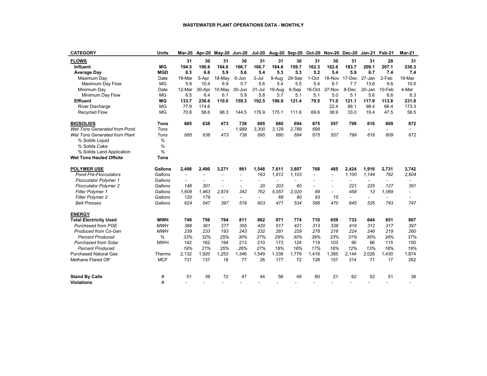| <b>CATEGORY</b>                | Units          | Mar-20                   | Apr-20                   | May-20 Jun-20            |                          |                          | Jul-20 Aug-20 Sep-20 Oct-20 Nov-20 Dec-20 |                          |                          |                          |                          | Jan-21         | Feb-21                   | <b>Mar-21</b>            |
|--------------------------------|----------------|--------------------------|--------------------------|--------------------------|--------------------------|--------------------------|-------------------------------------------|--------------------------|--------------------------|--------------------------|--------------------------|----------------|--------------------------|--------------------------|
| <b>FLOWS</b>                   |                | 31                       | 30                       | 31                       | 30                       | 31                       | 31                                        | 30                       | 31                       | 30                       | 31                       | 31             | 28                       | 31                       |
| Influent                       | МG             | 194.5                    | 196.6                    | 184.0                    | 166.7                    | 166.7                    | 164.6                                     | 159.7                    | 162.3                    | 162.6                    | 183.7                    | 209.1          | 207.1                    | 230.3                    |
| <b>Average Day</b>             | <b>MGD</b>     | 6.3                      | 6.6                      | 5.9                      | 5.6                      | 5.4                      | 5.3                                       | 5.3                      | 5.2                      | 5.4                      | 5.9                      | 6.7            | 7.4                      | 7.4                      |
| Maximum Day                    | Date           | 19-Mar                   | 5-Apr                    | 18-May                   | 6-Jun                    | $3 -$ Jul                | 9-Aug                                     | 29-Sep                   | 1-Oct                    | 18-Nov                   | 17-Dec                   | 27-Jan         | 2-Feb                    | 19-Mar                   |
| Maximum Day Flow               | <b>MG</b>      | 5.9                      | 10.4                     | 6.9                      | 5.7                      | 5.6                      | 5.4                                       | 5.5                      | 5.4                      | 6.7                      | 7.7                      | 13.6           | 9.6                      | 10.0                     |
| Minimum Day                    | Date           | 12-Mar                   | 30-Apr                   | 10-May                   | 30-Jun                   | $31 -$ Jul               | 19-Aug                                    | 6-Sep                    | 16-Oct                   | 27-Nov                   | 8-Dec                    | 20-Jan         | 10-Feb                   | 4-Mar                    |
| Minimum Day Flow               | <b>MG</b>      | 6.5                      | 6.4                      | 6.1                      | 5.9                      | 5.8                      | 5.7                                       | 5.1                      | 5.1                      | 5.0                      | 5.1                      | 5.6            | 6.6                      | 6.3                      |
| <b>Effluent</b>                | МG             | 133.7                    | 236.6                    | 110.0                    | 159.3                    | 192.5                    | 196.9                                     | 121.4                    | 79.5                     | 71.0                     | 121.1                    | 117.9          | 113.8                    | 231.8                    |
| <b>River Discharge</b>         | <b>MG</b>      | 77.9                     | 174.6                    |                          |                          |                          |                                           |                          |                          | 22.4                     | 88.1                     | 98.4           | 66.4                     | 173.3                    |
| <b>Recycled Flow</b>           | MG             | 70.8                     | 58.6                     | 98.3                     | 144.5                    | 176.9                    | 175.1                                     | 111.6                    | 69.6                     | 38.9                     | 33.0                     | 19.4           | 47.5                     | 58.5                     |
| <b>BIOSOLIDS</b>               | Tons           | 685                      | 638                      | 473                      | 738                      | 695                      | 680                                       | 694                      | 675                      | 557                      | 799                      | 616            | 609                      | 672                      |
| Wet Tons Generated from Pond   | Tons           |                          |                          |                          | 1,989                    | 3,300                    | 3,129                                     | 2,789                    | 698                      | $\overline{\phantom{a}}$ |                          | $\overline{a}$ |                          |                          |
| Wet Tons Generated from Plant  | Tons           | 685                      | 638                      | 473                      | 738                      | 695                      | 680                                       | 694                      | 675                      | 557                      | 799                      | 616            | 609                      | 672                      |
| % Solids Liquid                | $\%$           |                          |                          |                          |                          |                          |                                           |                          |                          |                          |                          |                |                          |                          |
| % Solids Cake                  | %              |                          |                          |                          |                          |                          |                                           |                          |                          |                          |                          |                |                          |                          |
| % Solids Land Application      | $\frac{0}{0}$  |                          |                          |                          |                          |                          |                                           |                          |                          |                          |                          |                |                          |                          |
| <b>Wet Tons Hauled Offsite</b> | <b>Tons</b>    |                          |                          |                          |                          |                          |                                           |                          |                          |                          |                          |                |                          |                          |
| <b>POLYMER USE</b>             | <b>Gallons</b> | 2,498                    | 2,490                    | 3,271                    | 861                      | 1.548                    | 7,611                                     | 3,807                    | 768                      | 485                      | 2,424                    | 1,916          | 2,731                    | 3,742                    |
| <b>Pond Pre-Flocculators</b>   | Gallons        | $\overline{\phantom{a}}$ | $\overline{\phantom{a}}$ | $\overline{\phantom{a}}$ | $\overline{\phantom{a}}$ | 163                      | 1,812                                     | 1,103                    | $\overline{\phantom{a}}$ | $\overline{\phantom{a}}$ | 1,100                    | 1,144          | 792                      | 2,604                    |
| <b>Flocculator Polymer 1</b>   | Gallons        | $\overline{\phantom{a}}$ |                          | $\overline{\phantom{0}}$ |                          | $\overline{\phantom{a}}$ | $\overline{\phantom{a}}$                  | $\overline{\phantom{a}}$ |                          | $\overline{a}$           | $\overline{\phantom{a}}$ | $\overline{a}$ | $\overline{\phantom{0}}$ |                          |
| <b>Flocculator Polymer 2</b>   | Gallons        | 146                      | 301                      | $\overline{\phantom{a}}$ | $\overline{\phantom{0}}$ | 20                       | 203                                       | 60                       |                          | $\overline{\phantom{a}}$ | 221                      | 225            | 127                      | 391                      |
| Filter Polymer 1               | Gallons        | 1.608                    | 1.463                    | 2.874                    | 342                      | 762                      | 5.057                                     | 2.020                    | 89                       | $\overline{a}$           | 458                      | 12             | 1.069                    | $\overline{\phantom{0}}$ |
| <b>Filter Polymer 2</b>        | Gallons        | 120                      | 179                      | $\overline{\phantom{a}}$ | $\overline{\phantom{a}}$ | $\overline{\phantom{0}}$ | 68                                        | 90                       | 93                       | 15                       | $\overline{\phantom{a}}$ | $\overline{a}$ | $\overline{\phantom{a}}$ |                          |
| <b>Belt Presses</b>            | Gallons        | 624                      | 547                      | 397                      | 519                      | 603                      | 471                                       | 534                      | 586                      | 470                      | 645                      | 535            | 743                      | 747                      |
| <b>ENERGY</b>                  |                |                          |                          |                          |                          |                          |                                           |                          |                          |                          |                          |                |                          |                          |
| <b>Total Electricity Used</b>  | <b>MWH</b>     | 749                      | 756                      | 764                      | 811                      | 862                      | 971                                       | 774                      | 710                      | 659                      | 733                      | 644            | 651                      | 807                      |
| Purchased from PGE             | <b>MWH</b>     | 368                      | 361                      | 377                      | 355                      | 420                      | 517                                       | 421                      | 313                      | 338                      | 419                      | 312            | 317                      | 397                      |
| Produced from Co-Gen           | <b>MWH</b>     | 239                      | 233                      | 193                      | 243                      | 232                      | 281                                       | 229                      | 278                      | 218                      | 224                      | 246            | 219                      | 260                      |
| <b>Percent Produced</b>        | %              | 33%                      | 32%                      | 25%                      | 30%                      | 27%                      | 29%                                       | 30%                      | 39%                      | 33%                      | 31%                      | 38%            | 34%                      | 37%                      |
| <b>Purchased from Solar</b>    | <b>MWH</b>     | 142                      | 162                      | 194                      | 213                      | 210                      | 173                                       | 124                      | 119                      | 103                      | 90                       | 86             | 115                      | 150                      |
| <b>Percent Produced</b>        |                | 19%                      | 21%                      | 25%                      | 26%                      | 27%                      | 18%                                       | 16%                      | 17%                      | 16%                      | 12%                      | 13%            | 18%                      | 19%                      |
| <b>Purchased Natural Gas</b>   | Therms         | 2,132                    | 1,920                    | 1,253                    | 1.346                    | 1.549                    | 1,338                                     | 1,779                    | 1.416                    | 1,385                    | 2.144                    | 2.026          | 1,430                    | 1,874                    |
| Methane Flared Off             | <b>MCF</b>     | 731                      | 137                      | 18                       | 77                       | 26                       | 177                                       | 72                       | 128                      | 157                      | 314                      | 71             | 17                       | 262                      |
| <b>Stand By Calls</b>          | #              | 51                       | 39                       | 72                       | 47                       | 44                       | 56                                        | 49                       | 60                       | 21                       | 62                       | 52             | 51                       | 38                       |
| <b>Violations</b>              | #              |                          |                          |                          |                          |                          |                                           |                          |                          |                          |                          |                |                          |                          |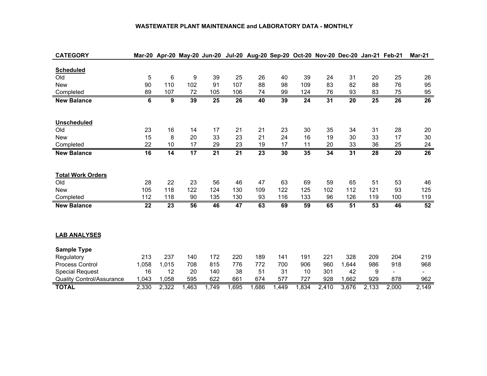#### **WASTEWATER PLANT MAINTENANCE and LABORATORY DATA - MONTHLY**

| <b>CATEGORY</b>                  |                 |                 |                 |                 |                 | Mar-20 Apr-20 May-20 Jun-20 Jul-20 Aug-20 Sep-20 Oct-20 Nov-20 Dec-20 Jan-21 Feb-21 |       |                 |                 |                 |                 |                          | <b>Mar-21</b> |
|----------------------------------|-----------------|-----------------|-----------------|-----------------|-----------------|-------------------------------------------------------------------------------------|-------|-----------------|-----------------|-----------------|-----------------|--------------------------|---------------|
|                                  |                 |                 |                 |                 |                 |                                                                                     |       |                 |                 |                 |                 |                          |               |
| <b>Scheduled</b>                 |                 |                 |                 |                 |                 |                                                                                     |       |                 |                 |                 |                 |                          |               |
| Old                              | 5               | $\,6$           | 9               | 39              | 25              | 26                                                                                  | 40    | 39              | 24              | 31              | 20              | 25                       | 26            |
| <b>New</b>                       | 90              | 110             | 102             | 91              | 107             | 88                                                                                  | 98    | 109             | 83              | 82              | 88              | 76                       | 95            |
| Completed                        | 89              | 107             | 72              | 105             | 106             | 74                                                                                  | 99    | 124             | 76              | 93              | 83              | 75                       | 95            |
| <b>New Balance</b>               | 6               | 9               | 39              | $\overline{25}$ | $\overline{26}$ | $\overline{40}$                                                                     | 39    | $\overline{24}$ | 31              | $\overline{20}$ | $\overline{25}$ | $\overline{26}$          | 26            |
|                                  |                 |                 |                 |                 |                 |                                                                                     |       |                 |                 |                 |                 |                          |               |
|                                  |                 |                 |                 |                 |                 |                                                                                     |       |                 |                 |                 |                 |                          |               |
| Unscheduled                      |                 |                 |                 |                 |                 |                                                                                     |       |                 |                 |                 |                 |                          |               |
| Old                              | 23              | 16              | 14              | 17              | 21              | 21                                                                                  | 23    | 30              | 35              | 34              | 31              | 28                       | 20            |
| <b>New</b>                       | 15              | 8               | 20              | 33              | 23              | 21                                                                                  | 24    | 16              | 19              | 30              | 33              | 17                       | 30            |
| Completed                        | 22              | 10              | 17              | 29              | 23              | 19                                                                                  | 17    | 11              | 20              | 33              | 36              | 25                       | 24            |
| <b>New Balance</b>               | $\overline{16}$ | 14              | $\overline{17}$ | $\overline{21}$ | $\overline{21}$ | $\overline{23}$                                                                     | 30    | 35              | $\overline{34}$ | $\overline{31}$ | $\overline{28}$ | $\overline{20}$          | 26            |
|                                  |                 |                 |                 |                 |                 |                                                                                     |       |                 |                 |                 |                 |                          |               |
|                                  |                 |                 |                 |                 |                 |                                                                                     |       |                 |                 |                 |                 |                          |               |
| <b>Total Work Orders</b>         |                 |                 |                 |                 |                 |                                                                                     |       |                 |                 |                 |                 |                          |               |
| Old                              | 28              | 22              | 23              | 56              | 46              | 47                                                                                  | 63    | 69              | 59              | 65              | 51              | 53                       | 46            |
| <b>New</b>                       | 105             | 118             | 122             | 124             | 130             | 109                                                                                 | 122   | 125             | 102             | 112             | 121             | 93                       | 125           |
| Completed                        | 112             | 118             | 90              | 135             | 130             | 93                                                                                  | 116   | 133             | 96              | 126             | 119             | 100                      | 119           |
| <b>New Balance</b>               | $\overline{22}$ | $\overline{23}$ | 56              | 46              | 47              | 63                                                                                  | 69    | 59              | 65              | 51              | $\overline{53}$ | 46                       | 52            |
|                                  |                 |                 |                 |                 |                 |                                                                                     |       |                 |                 |                 |                 |                          |               |
|                                  |                 |                 |                 |                 |                 |                                                                                     |       |                 |                 |                 |                 |                          |               |
| <b>LAB ANALYSES</b>              |                 |                 |                 |                 |                 |                                                                                     |       |                 |                 |                 |                 |                          |               |
|                                  |                 |                 |                 |                 |                 |                                                                                     |       |                 |                 |                 |                 |                          |               |
| <b>Sample Type</b>               |                 |                 |                 |                 |                 |                                                                                     |       |                 |                 |                 |                 |                          |               |
| Regulatory                       | 213             | 237             | 140             | 172             | 220             | 189                                                                                 | 141   | 191             | 221             | 328             | 209             | 204                      | 219           |
| <b>Process Control</b>           | 1,058           | 1,015           | 708             | 815             | 776             | 772                                                                                 | 700   | 906             | 960             | 1,644           | 986             | 918                      | 968           |
| <b>Special Request</b>           | 16              | 12              | 20              | 140             | 38              | 51                                                                                  | 31    | 10              | 301             | 42              | 9               | $\overline{\phantom{a}}$ |               |
| <b>Quality Control/Assurance</b> | 1,043           | 1,058           | 595             | 622             | 661             | 674                                                                                 | 577   | 727             | 928             | 1,662           | 929             | 878                      | 962           |
| <b>TOTAL</b>                     | 2,330           | 2,322           | 1,463           | 1,749           | 1,695           | 1,686                                                                               | 1,449 | 1,834           | 2,410           | 3,676           | 2,133           | 2,000                    | 2,149         |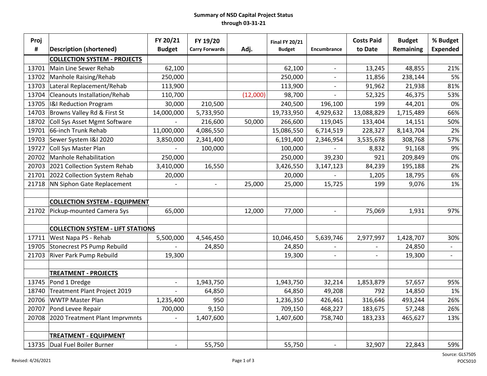#### **Summary of NSD Capital Project Status through 03‐31‐21**

| Proj  |                                          | FY 20/21                 | FY 19/20                 |          | <b>Final FY 20/21</b> |                          | <b>Costs Paid</b> | <b>Budget</b> | % Budget                 |
|-------|------------------------------------------|--------------------------|--------------------------|----------|-----------------------|--------------------------|-------------------|---------------|--------------------------|
| #     | <b>Description (shortened)</b>           | <b>Budget</b>            | <b>Carry Forwards</b>    | Adj.     | <b>Budget</b>         | Encumbrance              | to Date           | Remaining     | <b>Expended</b>          |
|       | <b>COLLECTION SYSTEM - PROJECTS</b>      |                          |                          |          |                       |                          |                   |               |                          |
| 13701 | Main Line Sewer Rehab                    | 62,100                   |                          |          | 62,100                | $\overline{\phantom{a}}$ | 13,245            | 48,855        | 21%                      |
| 13702 | Manhole Raising/Rehab                    | 250,000                  |                          |          | 250,000               | $\overline{\phantom{a}}$ | 11,856            | 238,144       | 5%                       |
| 13703 | Lateral Replacement/Rehab                | 113,900                  |                          |          | 113,900               | $\overline{a}$           | 91,962            | 21,938        | 81%                      |
| 13704 | <b>Cleanouts Installation/Rehab</b>      | 110,700                  |                          | (12,000) | 98,700                | $\overline{\phantom{a}}$ | 52,325            | 46,375        | 53%                      |
| 13705 | <b>I&amp;I Reduction Program</b>         | 30,000                   | 210,500                  |          | 240,500               | 196,100                  | 199               | 44,201        | 0%                       |
| 14703 | Browns Valley Rd & First St              | 14,000,000               | 5,733,950                |          | 19,733,950            | 4,929,632                | 13,088,829        | 1,715,489     | 66%                      |
| 18702 | Coll Sys Asset Mgmt Software             |                          | 216,600                  | 50,000   | 266,600               | 119,045                  | 133,404           | 14,151        | 50%                      |
| 19701 | 66-inch Trunk Rehab                      | 11,000,000               | 4,086,550                |          | 15,086,550            | 6,714,519                | 228,327           | 8,143,704     | 2%                       |
| 19703 | Sewer System I&I 2020                    | 3,850,000                | 2,341,400                |          | 6,191,400             | 2,346,954                | 3,535,678         | 308,768       | 57%                      |
| 19727 | Coll Sys Master Plan                     |                          | 100,000                  |          | 100,000               |                          | 8,832             | 91,168        | 9%                       |
| 20702 | <b>Manhole Rehabilitation</b>            | 250,000                  |                          |          | 250,000               | 39,230                   | 921               | 209,849       | 0%                       |
| 20703 | 2021 Collection System Rehab             | 3,410,000                | 16,550                   |          | 3,426,550             | 3,147,123                | 84,239            | 195,188       | 2%                       |
| 21701 | 2022 Collection System Rehab             | 20,000                   |                          |          | 20,000                |                          | 1,205             | 18,795        | 6%                       |
| 21718 | NN Siphon Gate Replacement               |                          | $\overline{\phantom{a}}$ | 25,000   | 25,000                | 15,725                   | 199               | 9,076         | 1%                       |
|       |                                          |                          |                          |          |                       |                          |                   |               |                          |
|       | <b>COLLECTION SYSTEM - EQUIPMENT</b>     |                          |                          |          |                       |                          |                   |               |                          |
| 21702 | Pickup-mounted Camera Sys                | 65,000                   |                          | 12,000   | 77,000                | $\overline{\phantom{0}}$ | 75,069            | 1,931         | 97%                      |
|       |                                          |                          |                          |          |                       |                          |                   |               |                          |
|       | <b>COLLECTION SYSTEM - LIFT STATIONS</b> |                          |                          |          |                       |                          |                   |               |                          |
| 17711 | West Napa PS - Rehab                     | 5,500,000                | 4,546,450                |          | 10,046,450            | 5,639,746                | 2,977,997         | 1,428,707     | 30%                      |
| 19705 | <b>Stonecrest PS Pump Rebuild</b>        |                          | 24,850                   |          | 24,850                |                          |                   | 24,850        | $\overline{\phantom{a}}$ |
| 21703 | River Park Pump Rebuild                  | 19,300                   |                          |          | 19,300                | $\mathbf{r}$             | $\blacksquare$    | 19,300        | $\overline{\phantom{a}}$ |
|       |                                          |                          |                          |          |                       |                          |                   |               |                          |
|       | <b>TREATMENT - PROJECTS</b>              |                          |                          |          |                       |                          |                   |               |                          |
| 13745 | Pond 1 Dredge                            |                          | 1,943,750                |          | 1,943,750             | 32,214                   | 1,853,879         | 57,657        | 95%                      |
| 18740 | <b>Treatment Plant Project 2019</b>      |                          | 64,850                   |          | 64,850                | 49,208                   | 792               | 14,850        | 1%                       |
| 20706 | <b>WWTP Master Plan</b>                  | 1,235,400                | 950                      |          | 1,236,350             | 426,461                  | 316,646           | 493,244       | 26%                      |
| 20707 | Pond Levee Repair                        | 700,000                  | 9,150                    |          | 709,150               | 468,227                  | 183,675           | 57,248        | 26%                      |
| 20708 | 2020 Treatment Plant Imprvmnts           |                          | 1,407,600                |          | 1,407,600             | 758,740                  | 183,233           | 465,627       | 13%                      |
|       |                                          |                          |                          |          |                       |                          |                   |               |                          |
|       | <b>TREATMENT - EQUIPMENT</b>             |                          |                          |          |                       |                          |                   |               |                          |
| 13735 | Dual Fuel Boiler Burner                  | $\overline{\phantom{a}}$ | 55,750                   |          | 55,750                | $\blacksquare$           | 32,907            | 22,843        | 59%                      |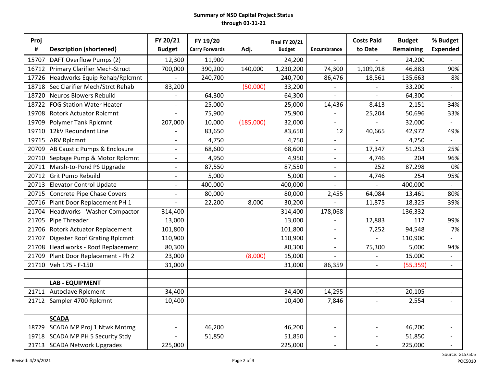#### **Summary of NSD Capital Project Status through 03‐31‐21**

| Proj<br># | <b>Description (shortened)</b>       | FY 20/21<br><b>Budget</b> | FY 19/20<br><b>Carry Forwards</b> | Adj.      | <b>Final FY 20/21</b><br><b>Budget</b> | Encumbrance              | <b>Costs Paid</b><br>to Date | <b>Budget</b><br>Remaining | % Budget<br><b>Expended</b> |
|-----------|--------------------------------------|---------------------------|-----------------------------------|-----------|----------------------------------------|--------------------------|------------------------------|----------------------------|-----------------------------|
| 15707     | DAFT Overflow Pumps (2)              | 12,300                    | 11,900                            |           | 24,200                                 |                          | $\overline{\phantom{a}}$     | 24,200                     | $\overline{\phantom{a}}$    |
| 16712     | <b>Primary Clarifier Mech-Struct</b> | 700,000                   | 390,200                           | 140,000   | 1,230,200                              | 74,300                   | 1,109,018                    | 46,883                     | 90%                         |
| 17726     | Headworks Equip Rehab/Rplcmnt        |                           | 240,700                           |           | 240,700                                | 86,476                   | 18,561                       | 135,663                    | 8%                          |
| 18718     | Sec Clarifier Mech/Strct Rehab       | 83,200                    |                                   | (50,000)  | 33,200                                 |                          |                              | 33,200                     | $\overline{\phantom{a}}$    |
| 18720     | <b>Neuros Blowers Rebuild</b>        |                           | 64,300                            |           | 64,300                                 | $\blacksquare$           |                              | 64,300                     |                             |
| 18722     | <b>FOG Station Water Heater</b>      |                           | 25,000                            |           | 25,000                                 | 14,436                   | 8,413                        | 2,151                      | 34%                         |
| 19708     | <b>Rotork Actuator Rplcmnt</b>       |                           | 75,900                            |           | 75,900                                 |                          | 25,204                       | 50,696                     | 33%                         |
| 19709     | <b>Polymer Tank Rplcmnt</b>          | 207,000                   | 10,000                            | (185,000) | 32,000                                 | $\overline{\phantom{a}}$ |                              | 32,000                     |                             |
| 19710     | 12kV Redundant Line                  |                           | 83,650                            |           | 83,650                                 | 12                       | 40,665                       | 42,972                     | 49%                         |
| 19715     | <b>ARV Rplcmnt</b>                   | $\overline{\phantom{a}}$  | 4,750                             |           | 4,750                                  | $\overline{\phantom{a}}$ |                              | 4,750                      |                             |
| 20709     | AB Caustic Pumps & Enclosure         | $\overline{\phantom{a}}$  | 68,600                            |           | 68,600                                 | $\overline{\phantom{a}}$ | 17,347                       | 51,253                     | 25%                         |
| 20710     | Septage Pump & Motor Rplcmnt         | $\overline{\phantom{a}}$  | 4,950                             |           | 4,950                                  | $\blacksquare$           | 4,746                        | 204                        | 96%                         |
| 20711     | Marsh-to-Pond PS Upgrade             |                           | 87,550                            |           | 87,550                                 |                          | 252                          | 87,298                     | 0%                          |
| 20712     | <b>Grit Pump Rebuild</b>             |                           | 5,000                             |           | 5,000                                  | $\blacksquare$           | 4,746                        | 254                        | 95%                         |
| 20713     | <b>Elevator Control Update</b>       |                           | 400,000                           |           | 400,000                                |                          |                              | 400,000                    |                             |
| 20715     | Concrete Pipe Chase Covers           |                           | 80,000                            |           | 80,000                                 | 2,455                    | 64,084                       | 13,461                     | 80%                         |
| 20716     | Plant Door Replacement PH 1          |                           | 22,200                            | 8,000     | 30,200                                 |                          | 11,875                       | 18,325                     | 39%                         |
| 21704     | Headworks - Washer Compactor         | 314,400                   |                                   |           | 314,400                                | 178,068                  |                              | 136,332                    |                             |
| 21705     | Pipe Threader                        | 13,000                    |                                   |           | 13,000                                 |                          | 12,883                       | 117                        | 99%                         |
| 21706     | <b>Rotork Actuator Replacement</b>   | 101,800                   |                                   |           | 101,800                                | $\overline{\phantom{a}}$ | 7,252                        | 94,548                     | 7%                          |
| 21707     | <b>Digester Roof Grating Rplcmnt</b> | 110,900                   |                                   |           | 110,900                                | $\overline{\phantom{a}}$ |                              | 110,900                    |                             |
| 21708     | Head works - Roof Replacement        | 80,300                    |                                   |           | 80,300                                 | $\blacksquare$           | 75,300                       | 5,000                      | 94%                         |
| 21709     | Plant Door Replacement - Ph 2        | 23,000                    |                                   | (8,000)   | 15,000                                 | $\sim$                   |                              | 15,000                     | $\overline{\phantom{a}}$    |
| 21710     | Veh 175 - F-150                      | 31,000                    |                                   |           | 31,000                                 | 86,359                   | $\overline{\phantom{0}}$     | (55, 359)                  | $\overline{\phantom{a}}$    |
|           |                                      |                           |                                   |           |                                        |                          |                              |                            |                             |
|           | <b>LAB - EQUIPMENT</b>               |                           |                                   |           |                                        |                          |                              |                            |                             |
| 21711     | Autoclave Rplcment                   | 34,400                    |                                   |           | 34,400                                 | 14,295                   | $\overline{\phantom{0}}$     | 20,105                     |                             |
| 21712     | Sampler 4700 Rplcmnt                 | 10,400                    |                                   |           | 10,400                                 | 7,846                    | $\overline{\phantom{a}}$     | 2,554                      | $\overline{a}$              |
|           |                                      |                           |                                   |           |                                        |                          |                              |                            |                             |
|           | <b>SCADA</b>                         |                           |                                   |           |                                        |                          |                              |                            |                             |
| 18729     | SCADA MP Proj 1 Ntwk Mntrng          | $\overline{\phantom{a}}$  | 46,200                            |           | 46,200                                 | $\overline{\phantom{a}}$ | $\overline{\phantom{a}}$     | 46,200                     | $\overline{\phantom{a}}$    |
| 19718     | SCADA MP PH 5 Security Stdy          |                           | 51,850                            |           | 51,850                                 | $\overline{\phantom{a}}$ | $\overline{\phantom{0}}$     | 51,850                     | $\overline{\phantom{a}}$    |
| 21713     | <b>SCADA Network Upgrades</b>        | 225,000                   |                                   |           | 225,000                                |                          |                              | 225,000                    |                             |